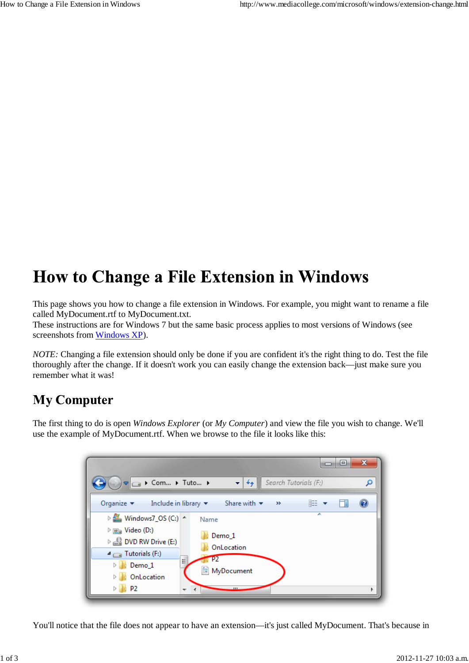## **How to Change a File Extension in Windows**

This page shows you how to change a file extension in Windows. For example, you might want to rename a file called MyDocument.rtf to MyDocument.txt.

These instructions are for Windows 7 but the same basic process applies to most versions of Windows (see screenshots from Windows XP).

*NOTE:* Changing a file extension should only be done if you are confident it's the right thing to do. Test the file thoroughly after the change. If it doesn't work you can easily change the extension back—just make sure you remember what it was!

## **My Computer**

The first thing to do is open *Windows Explorer* (or *My Computer*) and view the file you wish to change. We'll use the example of MyDocument.rtf. When we browse to the file it looks like this:



You'll notice that the file does not appear to have an extension—it's just called MyDocument. That's because in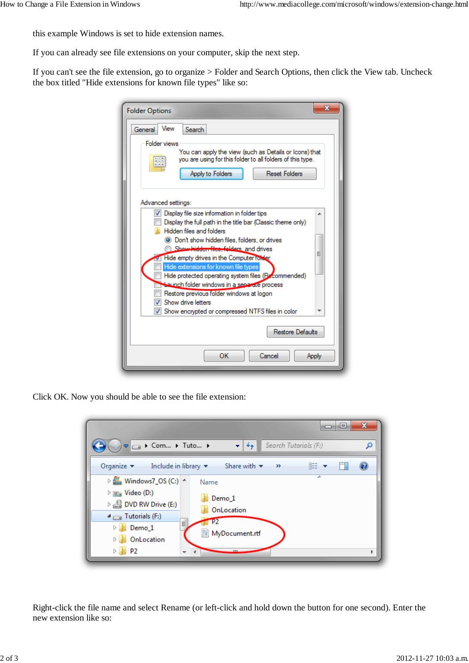this example Windows is set to hide extension names.

If you can already see file extensions on your computer, skip the next step.

If you can't see the file extension, go to organize > Folder and Search Options, then click the View tab. Uncheck the box titled "Hide extensions for known file types" like so:

| X<br><b>Folder Options</b>                                                                                                                                                                                                                     |
|------------------------------------------------------------------------------------------------------------------------------------------------------------------------------------------------------------------------------------------------|
| View<br><b>Search</b><br>General                                                                                                                                                                                                               |
| <b>Folder views</b><br>You can apply the view (such as Details or Icons) that<br>you are using for this folder to all folders of this type.                                                                                                    |
| <b>Reset Folders</b><br>Apply to Folders                                                                                                                                                                                                       |
| Advanced settings:                                                                                                                                                                                                                             |
| Display file size information in folder tips<br>Display the full path in the title bar (Classic theme only)<br>Hidden files and folders<br>◎ Don't show hidden files, folders, or drives<br>Show hidden files, folders, and drives             |
| Ξ<br>Hide empty drives in the Computer folder<br>Hide extensions for known file types<br>Hide protected operating system files (Becommended)<br><b>Launch folder windows in a separate process</b><br>Restore previous folder windows at logon |
| Show drive letters<br>Show encrypted or compressed NTFS files in color                                                                                                                                                                         |
| Restore Defaults                                                                                                                                                                                                                               |
| OK<br>Cancel<br>Apply                                                                                                                                                                                                                          |

Click OK. Now you should be able to see the file extension:



Right-click the file name and select Rename (or left-click and hold down the button for one second). Enter the new extension like so: